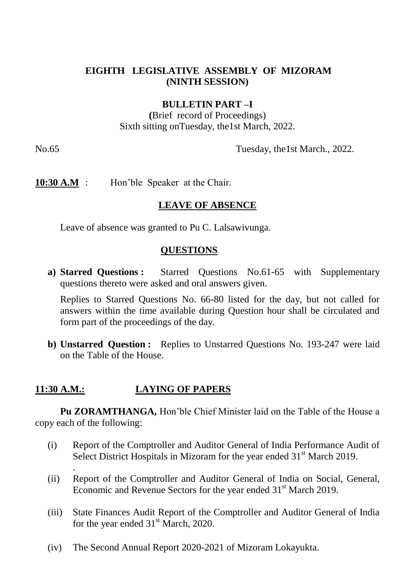### **EIGHTH LEGISLATIVE ASSEMBLY OF MIZORAM (NINTH SESSION)**

#### **BULLETIN PART –I**

**(**Brief record of Proceedings) Sixth sitting onTuesday, the1st March, 2022.

No.65 Tuesday, the 1st March., 2022.

**10:30 A.M** : Hon'ble Speaker at the Chair.

#### **LEAVE OF ABSENCE**

Leave of absence was granted to Pu C. Lalsawivunga.

### **QUESTIONS**

**a) Starred Questions :** Starred Questions No.61-65 with Supplementary questions thereto were asked and oral answers given.

Replies to Starred Questions No. 66-80 listed for the day, but not called for answers within the time available during Question hour shall be circulated and form part of the proceedings of the day.

**b) Unstarred Question :** Replies to Unstarred Questions No. 193-247 were laid on the Table of the House.

# **11:30 A.M.: LAYING OF PAPERS**

.

**Pu ZORAMTHANGA,** Hon'ble Chief Minister laid on the Table of the House a copy each of the following:

- (i) Report of the Comptroller and Auditor General of India Performance Audit of Select District Hospitals in Mizoram for the year ended  $31<sup>st</sup>$  March 2019.
- (ii) Report of the Comptroller and Auditor General of India on Social, General, Economic and Revenue Sectors for the year ended 31<sup>st</sup> March 2019.
- (iii) State Finances Audit Report of the Comptroller and Auditor General of India for the year ended  $31<sup>st</sup>$  March, 2020.
- (iv) The Second Annual Report 2020-2021 of Mizoram Lokayukta.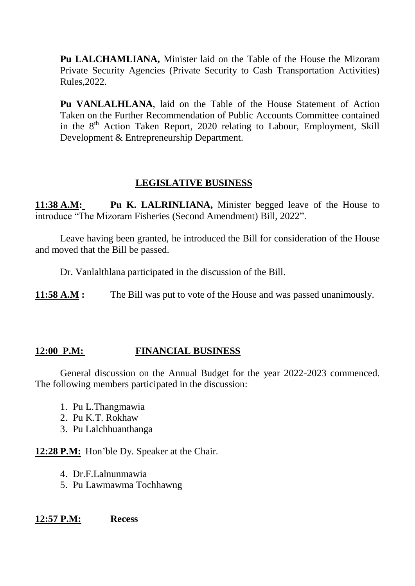**Pu LALCHAMLIANA,** Minister laid on the Table of the House the Mizoram Private Security Agencies (Private Security to Cash Transportation Activities) Rules,2022.

**Pu VANLALHLANA**, laid on the Table of the House Statement of Action Taken on the Further Recommendation of Public Accounts Committee contained in the  $8<sup>th</sup>$  Action Taken Report, 2020 relating to Labour, Employment, Skill Development & Entrepreneurship Department.

# **LEGISLATIVE BUSINESS**

**11:38 A.M: Pu K. LALRINLIANA,** Minister begged leave of the House to introduce "The Mizoram Fisheries (Second Amendment) Bill, 2022".

Leave having been granted, he introduced the Bill for consideration of the House and moved that the Bill be passed.

Dr. Vanlalthlana participated in the discussion of the Bill.

**11:58 A.M :** The Bill was put to vote of the House and was passed unanimously.

# **12:00 P.M: FINANCIAL BUSINESS**

General discussion on the Annual Budget for the year 2022-2023 commenced. The following members participated in the discussion:

- 1. Pu L.Thangmawia
- 2. Pu K.T. Rokhaw
- 3. Pu Lalchhuanthanga

**12:28 P.M:** Hon'ble Dy. Speaker at the Chair.

- 4. Dr.F.Lalnunmawia
- 5. Pu Lawmawma Tochhawng

### **12:57 P.M: Recess**